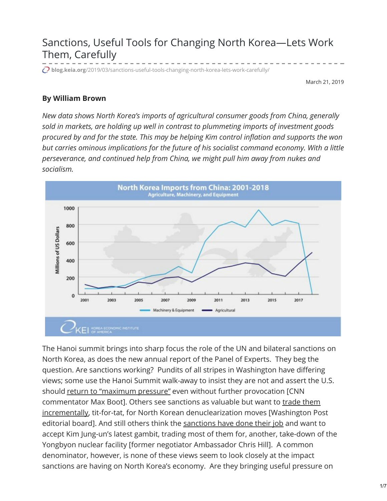## Sanctions, Useful Tools for Changing North Korea—Lets Work Them, Carefully

**blog.keia.org**[/2019/03/sanctions-useful-tools-changing-north-korea-lets-work-carefully/](http://blog.keia.org/2019/03/sanctions-useful-tools-changing-north-korea-lets-work-carefully/)

March 21, 2019

## **By William Brown**

*New data shows North Korea's imports of agricultural consumer goods from China, generally sold in markets, are holding up well in contrast to plummeting imports of investment goods procured by and for the state. This may be helping Kim control inflation and supports the won but carries ominous implications for the future of his socialist command economy. With a little perseverance, and continued help from China, we might pull him away from nukes and socialism.*



The Hanoi summit brings into sharp focus the role of the UN and bilateral sanctions on North Korea, as does the new annual report of the Panel of Experts. They beg the question. Are sanctions working? Pundits of all stripes in Washington have differing views; some use the Hanoi Summit walk-away to insist they are not and assert the U.S. should return to ["maximum](https://www.washingtonpost.com/opinions/global-opinions/going-big-on-north-korea-failed-trump-should-go-small/2019/03/14/1c47aeee-442f-11e9-8aab-95b8d80a1e4f_story.html) pressure" even without further provocation [CNN commentator Max Boot]. Others see sanctions as valuable but want to trade them incrementally, tit-for-tat, for North Korean [denuclearization](https://www.washingtonpost.com/opinions/global-opinions/the-hanoi-summit-failure-exposes-trumps-weak-diplomacy/2019/02/28/d922fac0-3b63-11e9-a2cd-307b06d0257b_story.html) moves [Washington Post editorial board]. And still others think the [sanctions](https://thehill.com/opinion/international/433235-a-deal-for-trump-take-north-koreas-offer-and-build-upon-it) have done their job and want to accept Kim Jung-un's latest gambit, trading most of them for, another, take-down of the Yongbyon nuclear facility [former negotiator Ambassador Chris Hill]. A common denominator, however, is none of these views seem to look closely at the impact sanctions are having on North Korea's economy. Are they bringing useful pressure on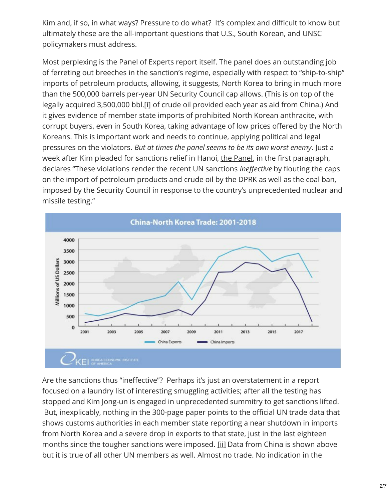Kim and, if so, in what ways? Pressure to do what? It's complex and difficult to know but ultimately these are the all-important questions that U.S., South Korean, and UNSC policymakers must address.

Most perplexing is the Panel of Experts report itself. The panel does an outstanding job of ferreting out breeches in the sanction's regime, especially with respect to "ship-to-ship" imports of petroleum products, allowing, it suggests, North Korea to bring in much more than the 500,000 barrels per-year UN Security Council cap allows. (This is on top of the legally acquired 3,500,000 bbl[.\[i\]](http://blog.keia.org/2019/03/sanctions-useful-tools-changing-north-korea-lets-work-carefully/#_edn1) of crude oil provided each year as aid from China.) And it gives evidence of member state imports of prohibited North Korean anthracite, with corrupt buyers, even in South Korea, taking advantage of low prices offered by the North Koreans. This is important work and needs to continue, applying political and legal pressures on the violators. *But at times the panel seems to be its own worst enemy*. Just a week after Kim pleaded for sanctions relief in Hanoi, the [Panel](https://projectalpha.eu/wp-content/uploads/sites/21/2019/03/S_2019_171_E.pdf), in the first paragraph, declares "These violations render the recent UN sanctions *ineffective* by flouting the caps on the import of petroleum products and crude oil by the DPRK as well as the coal ban, imposed by the Security Council in response to the country's unprecedented nuclear and missile testing."



Are the sanctions thus "ineffective"? Perhaps it's just an overstatement in a report focused on a laundry list of interesting smuggling activities; after all the testing has stopped and Kim Jong-un is engaged in unprecedented summitry to get sanctions lifted. But, inexplicably, nothing in the 300-page paper points to the official UN trade data that shows customs authorities in each member state reporting a near shutdown in imports from North Korea and a severe drop in exports to that state, just in the last eighteen months since the tougher sanctions were imposed. [\[ii\]](http://blog.keia.org/2019/03/sanctions-useful-tools-changing-north-korea-lets-work-carefully/#_edn2) Data from China is shown above but it is true of all other UN members as well. Almost no trade. No indication in the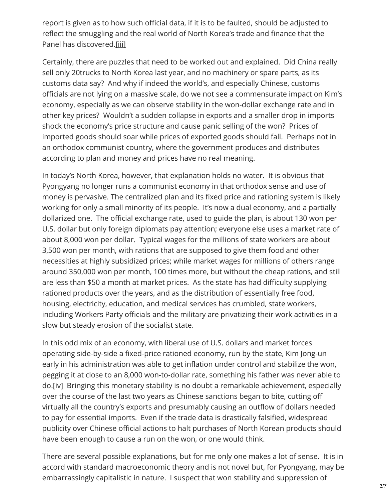report is given as to how such official data, if it is to be faulted, should be adjusted to reflect the smuggling and the real world of North Korea's trade and finance that the Panel has discovered[.\[iii\]](http://blog.keia.org/2019/03/sanctions-useful-tools-changing-north-korea-lets-work-carefully/#_edn3)

Certainly, there are puzzles that need to be worked out and explained. Did China really sell only 20trucks to North Korea last year, and no machinery or spare parts, as its customs data say? And why if indeed the world's, and especially Chinese, customs officials are not lying on a massive scale, do we not see a commensurate impact on Kim's economy, especially as we can observe stability in the won-dollar exchange rate and in other key prices? Wouldn't a sudden collapse in exports and a smaller drop in imports shock the economy's price structure and cause panic selling of the won? Prices of imported goods should soar while prices of exported goods should fall. Perhaps not in an orthodox communist country, where the government produces and distributes according to plan and money and prices have no real meaning.

In today's North Korea, however, that explanation holds no water. It is obvious that Pyongyang no longer runs a communist economy in that orthodox sense and use of money is pervasive. The centralized plan and its fixed price and rationing system is likely working for only a small minority of its people. It's now a dual economy, and a partially dollarized one. The official exchange rate, used to guide the plan, is about 130 won per U.S. dollar but only foreign diplomats pay attention; everyone else uses a market rate of about 8,000 won per dollar. Typical wages for the millions of state workers are about 3,500 won per month, with rations that are supposed to give them food and other necessities at highly subsidized prices; while market wages for millions of others range around 350,000 won per month, 100 times more, but without the cheap rations, and still are less than \$50 a month at market prices. As the state has had difficulty supplying rationed products over the years, and as the distribution of essentially free food, housing, electricity, education, and medical services has crumbled, state workers, including Workers Party officials and the military are privatizing their work activities in a slow but steady erosion of the socialist state.

In this odd mix of an economy, with liberal use of U.S. dollars and market forces operating side-by-side a fixed-price rationed economy, run by the state, Kim Jong-un early in his administration was able to get inflation under control and stabilize the won, pegging it at close to an 8,000 won-to-dollar rate, something his father was never able to do.[\[iv\]](http://blog.keia.org/2019/03/sanctions-useful-tools-changing-north-korea-lets-work-carefully/#_edn4) Bringing this monetary stability is no doubt a remarkable achievement, especially over the course of the last two years as Chinese sanctions began to bite, cutting off virtually all the country's exports and presumably causing an outflow of dollars needed to pay for essential imports. Even if the trade data is drastically falsified, widespread publicity over Chinese official actions to halt purchases of North Korean products should have been enough to cause a run on the won, or one would think.

There are several possible explanations, but for me only one makes a lot of sense. It is in accord with standard macroeconomic theory and is not novel but, for Pyongyang, may be embarrassingly capitalistic in nature. I suspect that won stability and suppression of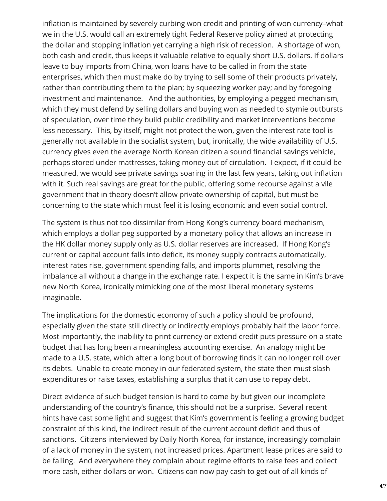inflation is maintained by severely curbing won credit and printing of won currency–what we in the U.S. would call an extremely tight Federal Reserve policy aimed at protecting the dollar and stopping inflation yet carrying a high risk of recession. A shortage of won, both cash and credit, thus keeps it valuable relative to equally short U.S. dollars. If dollars leave to buy imports from China, won loans have to be called in from the state enterprises, which then must make do by trying to sell some of their products privately, rather than contributing them to the plan; by squeezing worker pay; and by foregoing investment and maintenance. And the authorities, by employing a pegged mechanism, which they must defend by selling dollars and buying won as needed to stymie outbursts of speculation, over time they build public credibility and market interventions become less necessary. This, by itself, might not protect the won, given the interest rate tool is generally not available in the socialist system, but, ironically, the wide availability of U.S. currency gives even the average North Korean citizen a sound financial savings vehicle, perhaps stored under mattresses, taking money out of circulation. I expect, if it could be measured, we would see private savings soaring in the last few years, taking out inflation with it. Such real savings are great for the public, offering some recourse against a vile government that in theory doesn't allow private ownership of capital, but must be concerning to the state which must feel it is losing economic and even social control.

The system is thus not too dissimilar from Hong Kong's currency board mechanism, which employs a dollar peg supported by a monetary policy that allows an increase in the HK dollar money supply only as U.S. dollar reserves are increased. If Hong Kong's current or capital account falls into deficit, its money supply contracts automatically, interest rates rise, government spending falls, and imports plummet, resolving the imbalance all without a change in the exchange rate. I expect it is the same in Kim's brave new North Korea, ironically mimicking one of the most liberal monetary systems imaginable.

The implications for the domestic economy of such a policy should be profound, especially given the state still directly or indirectly employs probably half the labor force. Most importantly, the inability to print currency or extend credit puts pressure on a state budget that has long been a meaningless accounting exercise. An analogy might be made to a U.S. state, which after a long bout of borrowing finds it can no longer roll over its debts. Unable to create money in our federated system, the state then must slash expenditures or raise taxes, establishing a surplus that it can use to repay debt.

Direct evidence of such budget tension is hard to come by but given our incomplete understanding of the country's finance, this should not be a surprise. Several recent hints have cast some light and suggest that Kim's government is feeling a growing budget constraint of this kind, the indirect result of the current account deficit and thus of sanctions. Citizens interviewed by Daily North Korea, for instance, increasingly complain of a lack of money in the system, not increased prices. Apartment lease prices are said to be falling. And everywhere they complain about regime efforts to raise fees and collect more cash, either dollars or won. Citizens can now pay cash to get out of all kinds of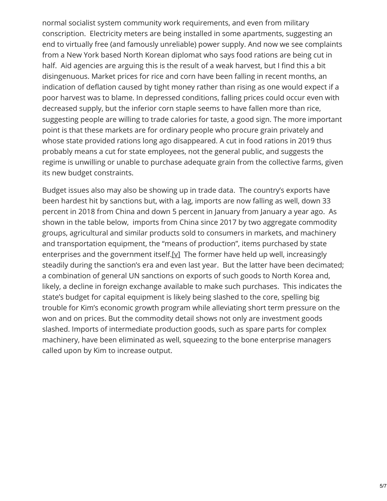normal socialist system community work requirements, and even from military conscription. Electricity meters are being installed in some apartments, suggesting an end to virtually free (and famously unreliable) power supply. And now we see complaints from a New York based North Korean diplomat who says food rations are being cut in half. Aid agencies are arguing this is the result of a weak harvest, but I find this a bit disingenuous. Market prices for rice and corn have been falling in recent months, an indication of deflation caused by tight money rather than rising as one would expect if a poor harvest was to blame. In depressed conditions, falling prices could occur even with decreased supply, but the inferior corn staple seems to have fallen more than rice, suggesting people are willing to trade calories for taste, a good sign. The more important point is that these markets are for ordinary people who procure grain privately and whose state provided rations long ago disappeared. A cut in food rations in 2019 thus probably means a cut for state employees, not the general public, and suggests the regime is unwilling or unable to purchase adequate grain from the collective farms, given its new budget constraints.

Budget issues also may also be showing up in trade data. The country's exports have been hardest hit by sanctions but, with a lag, imports are now falling as well, down 33 percent in 2018 from China and down 5 percent in January from January a year ago. As shown in the table below, imports from China since 2017 by two aggregate commodity groups, agricultural and similar products sold to consumers in markets, and machinery and transportation equipment, the "means of production", items purchased by state enterprises and the government itself[.\[v\]](http://blog.keia.org/2019/03/sanctions-useful-tools-changing-north-korea-lets-work-carefully/#_edn5) The former have held up well, increasingly steadily during the sanction's era and even last year. But the latter have been decimated; a combination of general UN sanctions on exports of such goods to North Korea and, likely, a decline in foreign exchange available to make such purchases. This indicates the state's budget for capital equipment is likely being slashed to the core, spelling big trouble for Kim's economic growth program while alleviating short term pressure on the won and on prices. But the commodity detail shows not only are investment goods slashed. Imports of intermediate production goods, such as spare parts for complex machinery, have been eliminated as well, squeezing to the bone enterprise managers called upon by Kim to increase output.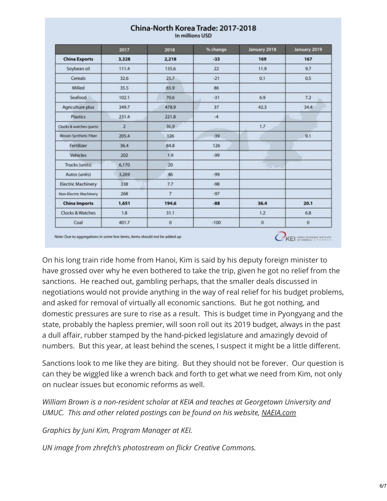|                           | 2017           | 2018           | % change   | January 2018   | January 2019 |
|---------------------------|----------------|----------------|------------|----------------|--------------|
| <b>China Exports</b>      | 3,328          | 2,218          | $-33$      | 169            | 167          |
| Soybean oil               | 111.4          | 135.6          | 22         | 11.9           | 9.7          |
| Cereals                   | 32.6           | 25.7           | $-21$      | 0.1            | 0.5          |
| Milled                    | 35.5           | 65.9           | 86         |                |              |
| Seafood                   | 102.1          | 70.6           | $-31$<br>٠ | 6.9            | 7.2<br>ы.    |
| Agriculture plus          | 349.7          | 478.9          | 37         | 42.3           | 34.4         |
| Plastics                  | 231.4          | 221.8          | $-4$       |                |              |
| Clocks & watches (parts)  | $\overline{2}$ | 36.9           |            | 1.7            |              |
| Woven Synthetic Fiber     | 205.4          | 126            | $-39$      |                | 9.1          |
| Fertilizer                | 36.4           | 84.8           | 126        | . .            |              |
| Vehicles                  | 202            | 1.9            | $-99$      | <b>START</b>   |              |
| Trucks (units)            | 6,170          | 20             |            | <b>TELESCO</b> |              |
| Autos (units)             | 3,269          | 46             | $-99$      |                |              |
| <b>Electric Machinery</b> | 338            | 7.7            | $-98$      |                |              |
| Non-Electric Machinery    | 268            | $\overline{7}$ | $-97$      |                |              |
| <b>China Imports</b>      | 1,651          | 194.6          | $-88$      | 36.4           | 20.1         |
| Clocks & Watches          | 1.8            | 31.1           |            | 1.2            | 6.8          |
| Coal                      | 401.7          | $\mathbf{0}$   | $-100$     | $\mathbf 0$    | $\mathbf{0}$ |

## China-North Korea Trade: 2017-2018

In millions USD

Note: Due to aggregations in some line items, items should not be added up

On his long train ride home from Hanoi, Kim is said by his deputy foreign minister to have grossed over why he even bothered to take the trip, given he got no relief from the sanctions. He reached out, gambling perhaps, that the smaller deals discussed in negotiations would not provide anything in the way of real relief for his budget problems, and asked for removal of virtually all economic sanctions. But he got nothing, and domestic pressures are sure to rise as a result. This is budget time in Pyongyang and the state, probably the hapless premier, will soon roll out its 2019 budget, always in the past a dull affair, rubber stamped by the hand-picked legislature and amazingly devoid of numbers. But this year, at least behind the scenes, I suspect it might be a little different.

KEI SPANERS ESTATE

Sanctions look to me like they are biting. But they should not be forever. Our question is can they be wiggled like a wrench back and forth to get what we need from Kim, not only on nuclear issues but economic reforms as well.

*William Brown is a non-resident scholar at KEIA and teaches at Georgetown University and UMUC. This and other related postings can be found on his website, [NAEIA.com](https://naeia.com/)*

*Graphics by Juni Kim, Program Manager at KEI.*

*UN image from zhrefch's photostream on flickr Creative Commons.*